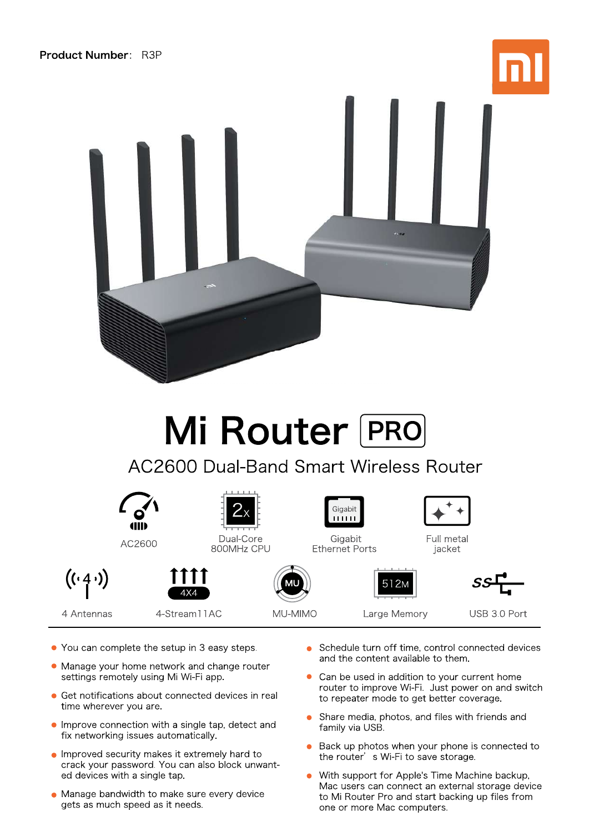



## Mi Router PRO

**AC2600 Dual-Band Smart Wireless Router** 



- You can complete the setup in 3 easy steps.
- Manage your home network and change router settings remotely using Mi Wi-Fi app.
- Get notifications about connected devices in real time wherever you are.
- Improve connection with a single tap, detect and fix networking issues automatically.
- Improved security makes it extremely hard to crack your password. You can also block unwanted devices with a single tap.
- Manage bandwidth to make sure every device gets as much speed as it needs.
- Schedule turn off time, control connected devices and the content available to them.
- Can be used in addition to your current home router to improve Wi-Fi. Just power on and switch to repeater mode to get better coverage.
- Share media, photos, and files with friends and family via USB.
- Back up photos when your phone is connected to the router's Wi-Fi to save storage.
- With support for Apple's Time Machine backup, Mac users can connect an external storage device to Mi Router Pro and start backing up files from one or more Mac computers.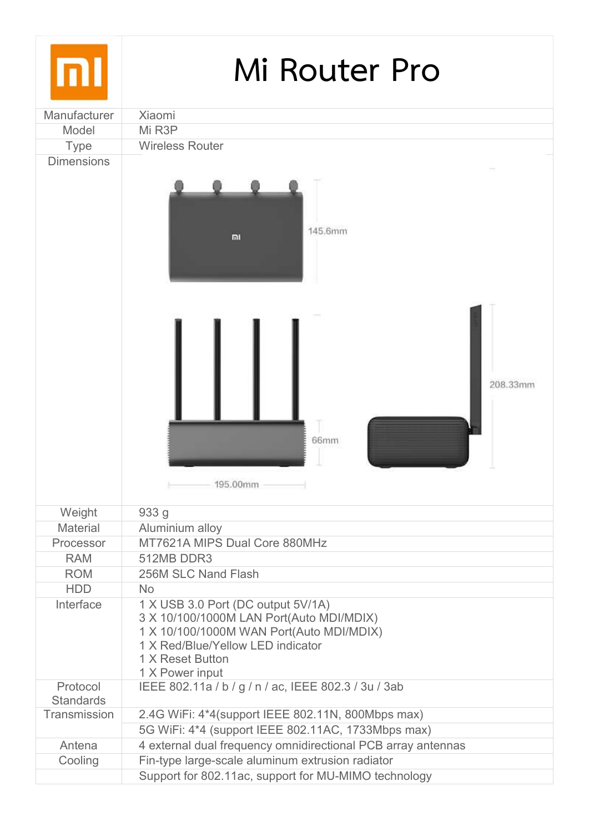| mı                           | Mi Router Pro                                                                                                                                                                                          |
|------------------------------|--------------------------------------------------------------------------------------------------------------------------------------------------------------------------------------------------------|
| Manufacturer<br>Model        | Xiaomi<br>Mi R3P                                                                                                                                                                                       |
| <b>Type</b>                  | <b>Wireless Router</b>                                                                                                                                                                                 |
| <b>Dimensions</b>            |                                                                                                                                                                                                        |
|                              | 145.6mm<br>m                                                                                                                                                                                           |
|                              | 208.33mm<br>66mm<br>195.00mm                                                                                                                                                                           |
| Weight                       | 933 g                                                                                                                                                                                                  |
| <b>Material</b>              | Aluminium alloy                                                                                                                                                                                        |
| Processor                    | MT7621A MIPS Dual Core 880MHz                                                                                                                                                                          |
| <b>RAM</b>                   | 512MB DDR3                                                                                                                                                                                             |
| <b>ROM</b><br><b>HDD</b>     | 256M SLC Nand Flash<br><b>No</b>                                                                                                                                                                       |
| Interface                    | 1 X USB 3.0 Port (DC output 5V/1A)<br>3 X 10/100/1000M LAN Port(Auto MDI/MDIX)<br>1 X 10/100/1000M WAN Port(Auto MDI/MDIX)<br>1 X Red/Blue/Yellow LED indicator<br>1 X Reset Button<br>1 X Power input |
| Protocol<br><b>Standards</b> | IEEE 802.11a / b / g / n / ac, IEEE 802.3 / 3u / 3ab                                                                                                                                                   |
| Transmission                 | 2.4G WiFi: 4*4(support IEEE 802.11N, 800Mbps max)                                                                                                                                                      |
|                              | 5G WiFi: 4*4 (support IEEE 802.11AC, 1733Mbps max)                                                                                                                                                     |
| Antena                       | 4 external dual frequency omnidirectional PCB array antennas                                                                                                                                           |
| Cooling                      | Fin-type large-scale aluminum extrusion radiator                                                                                                                                                       |
|                              | Support for 802.11ac, support for MU-MIMO technology                                                                                                                                                   |